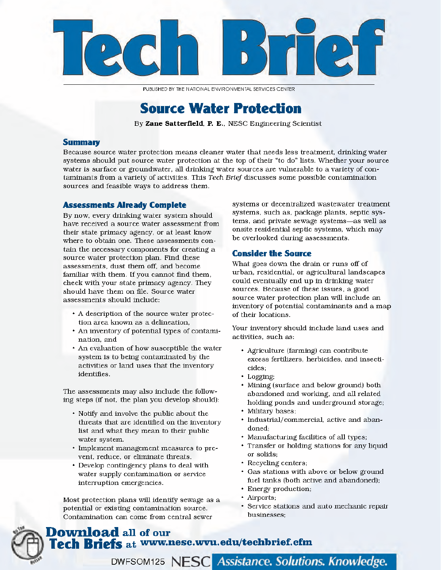

PUBLISHED BY THE NATIONAL ENVIRONMENTAL SERVICES CENTER

# **Source Water Protection**

By Zane Satterfield, P. E., NESC Engineering Scientist

## **Summary**

Because source water protection means cleaner water that needs less treatment, drinking water systems should put source water protection at the top of their "to do" lists. Whether your source water is surface or groundwater, all drinking water sources are vulnerable to a variety of contaminants from a variety of activities. This Tech Brief discusses some possible contamination sources and feasible ways to address them.

## **Assessments Already Complete**

By now, every drinking water system should have received a source water assessment from their state primacy agency, or at least know where to obtain one. These assessments contain the necessary components for creating a source water protection plan. Find these assessments, dust them off, and become familiar with them. If you cannot find them, check with your state primacy agency. They should have them on file. Source water assessments should include:

- A description of the source water protection area known as a delineation,
- An inventory of potential types of contamination, and
- An evaluation of how susceptible the water system is to being contaminated by the activities or land uses that the inventory identifies.

The assessments may also include the following steps (if not, the plan you develop should):

- Notify and involve the public about the threats that are identified on the inventory list and what they mean to their public water system.
- Implement management measures to prevent, reduce, or eliminate threats.
- Develop contingency plans to deal with water supply contamination or service interruption emergencies.

Most protection plans will identify sewage as a potential or existing contamination source. Contamination can come from central sewer

**Download** all of our

systems or decentralized wastewater treatment systems, such as, package plants, septic systems, and private sewage systems-as well as onsite residential septic systems, which may be overlooked during assessments.

## **Consider the Source**

What goes down the drain or runs off of urban, residential, or agricultural landscapes could eventually end up in drinking water sources. Because of these issues, a good source water protection plan will include an inventory of potential contaminants and a map of their locations.

Your inventory should include land uses and activities, such as:

- · Agriculture (farming) can contribute excess fertilizers, herbicides, and insecticides:
- · Logging;
- Mining (surface and below ground) both abandoned and working, and all related holding ponds and underground storage;
- · Military bases;
- · Industrial/commercial, active and abandoned:
- Manufacturing facilities of all types;
- Transfer or holding stations for any liquid or solids;
- Recycling centers;
- · Gas stations with above or below ground fuel tanks (both active and abandoned);
- Energy production;
- Airports;
- · Service stations and auto mechanic repair businesses;

# Tech Briefs at www.nesc.wvu.edu/techbrief.cfm

DWFSOM125 NESC Assistance. Solutions. Knowledge.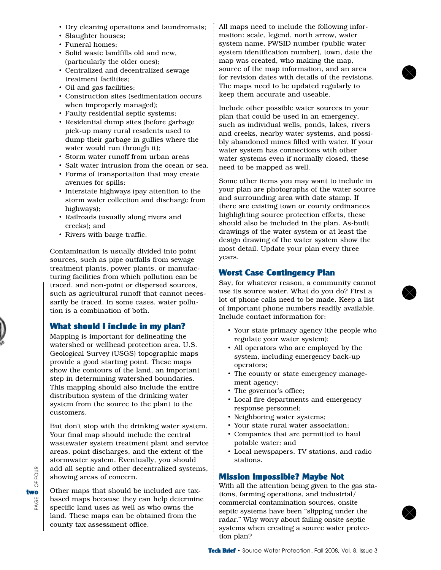- Dry cleaning operations and laundromats;
- Slaughter houses;
- Funeral homes;
- Solid waste landfills old and new, (particularly the older ones);
- Centralized and decentralized sewage treatment facilities;
- Oil and gas facilities;
- Construction sites (sedimentation occurs when improperly managed);
- Faulty residential septic systems;
- Residential dump sites (before garbage pick-up many rural residents used to dump their garbage in gullies where the water would run through it);
- Storm water runoff from urban areas
- Salt water intrusion from the ocean or sea.
- Forms of transportation that may create avenues for spills:
- Interstate highways (pay attention to the storm water collection and discharge from highways);
- Railroads (usually along rivers and creeks); and
- Rivers with barge traffic.

Contamination is usually divided into point sources, such as pipe outfalls from sewage treatment plants, power plants, or manufacturing facilities from which pollution can be traced, and non-point or dispersed sources, such as agricultural runoff that cannot necessarily be traced. In some cases, water pollution is a combination of both.

# What should I include in my plan?

Mapping is important for delineating the watershed or wellhead protection area. U.S. Geological Survey (USGS) topographic maps provide a good starting point. These maps show the contours of the land, an important step in determining watershed boundaries. This mapping should also include the entire distribution system of the drinking water system from the source to the plant to the customers.

But don't stop with the drinking water system. Your final map should include the central wastewater system treatment plant and service areas, point discharges, and the extent of the stormwater system. Eventually, you should add all septic and other decentralized systems, showing areas of concern.

Other maps that should be included are taxbased maps because they can help determine specific land uses as well as who owns the land. These maps can be obtained from the county tax assessment office.

All maps need to include the following information: scale, legend, north arrow, water system name, PWSID number (public water system identification number), town, date the map was created, who making the map, source of the map information, and an area for revision dates with details of the revisions. The maps need to be updated regularly to keep them accurate and useable.

Include other possible water sources in your plan that could be used in an emergency, such as individual wells, ponds, lakes, rivers and creeks, nearby water systems, and possibly abandoned mines filled with water. If your water system has connections with other water systems even if normally closed, these need to be mapped as well.

Some other items you may want to include in your plan are photographs of the water source and surrounding area with date stamp. If there are existing town or county ordinances highlighting source protection efforts, these should also be included in the plan. As-built drawings of the water system or at least the design drawing of the water system show the most detail. Update your plan every three years.

# Worst Case Contingency Plan

Say, for whatever reason, a community cannot use its source water. What do you do? First a lot of phone calls need to be made. Keep a list of important phone numbers readily available. Include contact information for:

- Your state primacy agency (the people who regulate your water system);
- All operators who are employed by the system, including emergency back-up operators;
- The county or state emergency management agency;
- The governor's office;
- Local fire departments and emergency response personnel;
- Neighboring water systems;
- Your state rural water association;
- Companies that are permitted to haul potable water; and
- Local newspapers, TV stations, and radio stations.

# Mission Impossible? Maybe Not

With all the attention being given to the gas stations, farming operations, and industrial/ commercial contamination sources, onsite septic systems have been "slipping under the radar." Why worry about failing onsite septic systems when creating a source water protection plan?

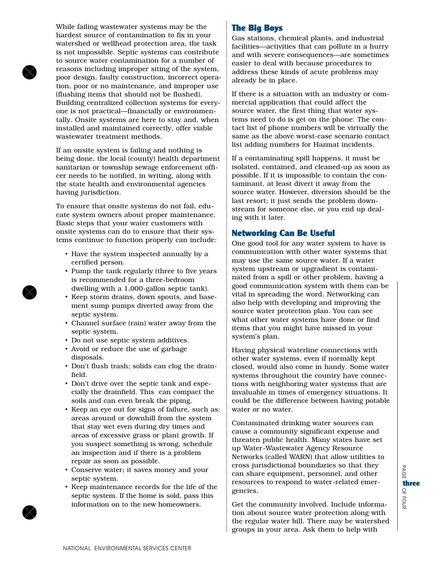While failing wastewater systems may be the hardest source of contamination to fix in your watershed or wellhead protection area, the task is not impossible. Septic systems can contribute to source water contamination for a number of reasons including improper siting of the system, poor design, faulty construction, incorrect operation, poor or no maintenance, and improper use (flushing items that should not be flushed). Building centralized collection systems for everyone is not practical—financially or environmentally. Onsite systems are here to stay and, when installed and maintained correctly, offer viable wastewater treatment methods.

If an onsite system is failing and nothing is being done, the local (county) health department sanitarian or township sewage enforcement officer needs to be notified, in writing, along with the state health and environmental agencies having jurisdiction.

To ensure that onsite systems do not fail, educate system owners about proper maintenance. Basic steps that your water customers with onsite systems can do to ensure that their systems continue to function properly can include:

- Have the system inspected annually by a certified person.
- Pump the tank regularly (three to five years is recommended for a three-bedroom dwelling with a 1,000-gallon septic tank).
- Keep storm drains, down spouts, and basement sump pumps diverted away from the septic system.
- Channel surface (rain) water away from the septic system.
- Do not use septic system additives.
- Avoid or reduce the use of garbage disposals.
- Don't flush trash; solids can clog the drainfield.
- Don't drive over the septic tank and especially the drainfield. This can compact the soils and can even break the piping.
- Keep an eye out for signs of failure, such as: areas around or downhill from the system that stay wet even during dry times and areas of excessive grass or plant growth. If you suspect something is wrong, schedule an inspection and if there is a problem repair as soon as possible.
- Conserve water; it saves money and your septic system.
- Keep maintenance records for the life of the septic system. If the home is sold, pass this information on to the new homeowners.

# The Big Boys

Gas stations, chemical plants, and industrial facilities—activities that can pollute in a hurry and with severe consequences—are sometimes easier to deal with because procedures to address these kinds of acute problems may already be in place.

If there is a situation with an industry or commercial application that could affect the source water, the first thing that water systems need to do is get on the phone. The contact list of phone numbers will be virtually the same as the above worst-case scenario contact list adding numbers for Hazmat incidents.

If a contaminating spill happens, it must be isolated, contained, and cleaned-up as soon as possible. If it is impossible to contain the contaminant, at least divert it away from the source water. However, diversion should be the last resort; it just sends the problem downstream for someone else, or you end up dealing with it later.

# Networking Can Be Useful

One good tool for any water system to have is communication with other water systems that may use the same source water. If a water system upstream or upgradient is contaminated from a spill or other problem, having a good communication system with them can be vital in spreading the word. Networking can also help with developing and improving the source water protection plan. You can see what other water systems have done or find items that you might have missed in your system's plan.

Having physical waterline connections with other water systems, even if normally kept closed, would also come in handy. Some water systems throughout the country have connections with neighboring water systems that are invaluable in times of emergency situations. It could be the difference between having potable water or no water.

Contaminated drinking water sources can cause a community significant expense and threaten public health. Many states have set up Water-Wastewater Agency Resource Networks (called WARN) that allow utilities to cross jurisdictional boundaries so that they can share equipment, personnel, and other resources to respond to water-related emergencies.

Get the community involved. Include information about source water protection along with the regular water bill. There may be watershed groups in your area. Ask them to help with